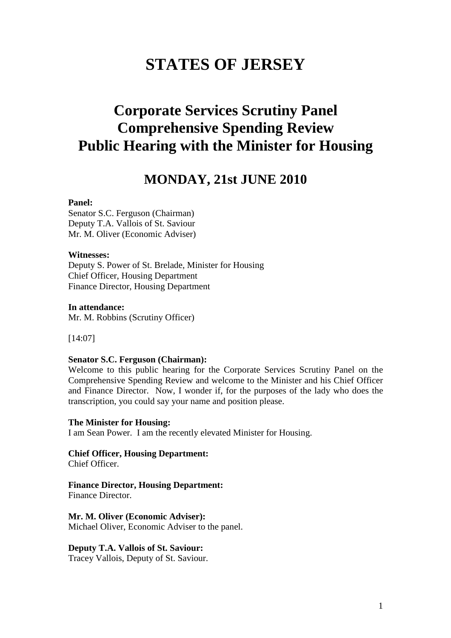# **STATES OF JERSEY**

# **Corporate Services Scrutiny Panel Comprehensive Spending Review Public Hearing with the Minister for Housing**

## **MONDAY, 21st JUNE 2010**

#### **Panel:**

Senator S.C. Ferguson (Chairman) Deputy T.A. Vallois of St. Saviour Mr. M. Oliver (Economic Adviser)

#### **Witnesses:**

Deputy S. Power of St. Brelade, Minister for Housing Chief Officer, Housing Department Finance Director, Housing Department

**In attendance:**  Mr. M. Robbins (Scrutiny Officer)

[14:07]

#### **Senator S.C. Ferguson (Chairman):**

Welcome to this public hearing for the Corporate Services Scrutiny Panel on the Comprehensive Spending Review and welcome to the Minister and his Chief Officer and Finance Director. Now, I wonder if, for the purposes of the lady who does the transcription, you could say your name and position please.

#### **The Minister for Housing:**

I am Sean Power. I am the recently elevated Minister for Housing.

**Chief Officer, Housing Department:**  Chief Officer.

#### **Finance Director, Housing Department:**

Finance Director.

**Mr. M. Oliver (Economic Adviser):**  Michael Oliver, Economic Adviser to the panel.

#### **Deputy T.A. Vallois of St. Saviour:**

Tracey Vallois, Deputy of St. Saviour.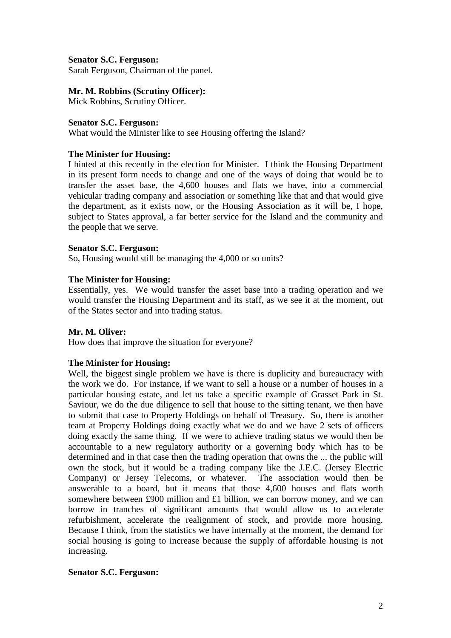## **Senator S.C. Ferguson:**

Sarah Ferguson, Chairman of the panel.

## **Mr. M. Robbins (Scrutiny Officer):**

Mick Robbins, Scrutiny Officer.

## **Senator S.C. Ferguson:**

What would the Minister like to see Housing offering the Island?

## **The Minister for Housing:**

I hinted at this recently in the election for Minister. I think the Housing Department in its present form needs to change and one of the ways of doing that would be to transfer the asset base, the 4,600 houses and flats we have, into a commercial vehicular trading company and association or something like that and that would give the department, as it exists now, or the Housing Association as it will be, I hope, subject to States approval, a far better service for the Island and the community and the people that we serve.

## **Senator S.C. Ferguson:**

So, Housing would still be managing the 4,000 or so units?

## **The Minister for Housing:**

Essentially, yes. We would transfer the asset base into a trading operation and we would transfer the Housing Department and its staff, as we see it at the moment, out of the States sector and into trading status.

## **Mr. M. Oliver:**

How does that improve the situation for everyone?

## **The Minister for Housing:**

Well, the biggest single problem we have is there is duplicity and bureaucracy with the work we do. For instance, if we want to sell a house or a number of houses in a particular housing estate, and let us take a specific example of Grasset Park in St. Saviour, we do the due diligence to sell that house to the sitting tenant, we then have to submit that case to Property Holdings on behalf of Treasury. So, there is another team at Property Holdings doing exactly what we do and we have 2 sets of officers doing exactly the same thing. If we were to achieve trading status we would then be accountable to a new regulatory authority or a governing body which has to be determined and in that case then the trading operation that owns the ... the public will own the stock, but it would be a trading company like the J.E.C. (Jersey Electric Company) or Jersey Telecoms, or whatever. The association would then be answerable to a board, but it means that those 4,600 houses and flats worth somewhere between £900 million and £1 billion, we can borrow money, and we can borrow in tranches of significant amounts that would allow us to accelerate refurbishment, accelerate the realignment of stock, and provide more housing. Because I think, from the statistics we have internally at the moment, the demand for social housing is going to increase because the supply of affordable housing is not increasing.

## **Senator S.C. Ferguson:**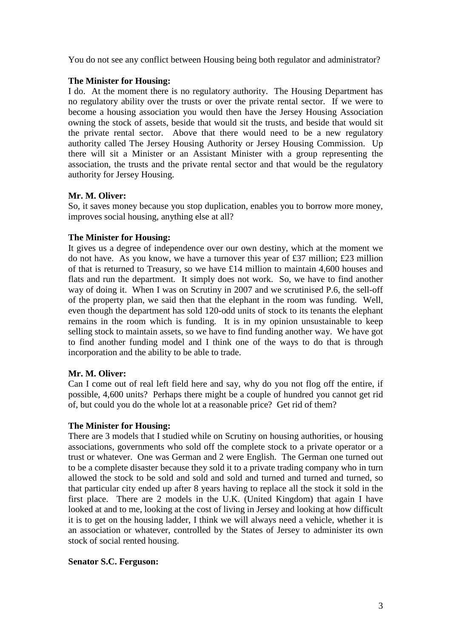You do not see any conflict between Housing being both regulator and administrator?

## **The Minister for Housing:**

I do. At the moment there is no regulatory authority. The Housing Department has no regulatory ability over the trusts or over the private rental sector. If we were to become a housing association you would then have the Jersey Housing Association owning the stock of assets, beside that would sit the trusts, and beside that would sit the private rental sector. Above that there would need to be a new regulatory authority called The Jersey Housing Authority or Jersey Housing Commission. Up there will sit a Minister or an Assistant Minister with a group representing the association, the trusts and the private rental sector and that would be the regulatory authority for Jersey Housing.

## **Mr. M. Oliver:**

So, it saves money because you stop duplication, enables you to borrow more money, improves social housing, anything else at all?

## **The Minister for Housing:**

It gives us a degree of independence over our own destiny, which at the moment we do not have. As you know, we have a turnover this year of £37 million; £23 million of that is returned to Treasury, so we have £14 million to maintain 4,600 houses and flats and run the department. It simply does not work. So, we have to find another way of doing it. When I was on Scrutiny in 2007 and we scrutinised P.6, the sell-off of the property plan, we said then that the elephant in the room was funding. Well, even though the department has sold 120-odd units of stock to its tenants the elephant remains in the room which is funding. It is in my opinion unsustainable to keep selling stock to maintain assets, so we have to find funding another way. We have got to find another funding model and I think one of the ways to do that is through incorporation and the ability to be able to trade.

## **Mr. M. Oliver:**

Can I come out of real left field here and say, why do you not flog off the entire, if possible, 4,600 units? Perhaps there might be a couple of hundred you cannot get rid of, but could you do the whole lot at a reasonable price? Get rid of them?

## **The Minister for Housing:**

There are 3 models that I studied while on Scrutiny on housing authorities, or housing associations, governments who sold off the complete stock to a private operator or a trust or whatever. One was German and 2 were English. The German one turned out to be a complete disaster because they sold it to a private trading company who in turn allowed the stock to be sold and sold and sold and turned and turned and turned, so that particular city ended up after 8 years having to replace all the stock it sold in the first place. There are 2 models in the U.K. (United Kingdom) that again I have looked at and to me, looking at the cost of living in Jersey and looking at how difficult it is to get on the housing ladder, I think we will always need a vehicle, whether it is an association or whatever, controlled by the States of Jersey to administer its own stock of social rented housing.

## **Senator S.C. Ferguson:**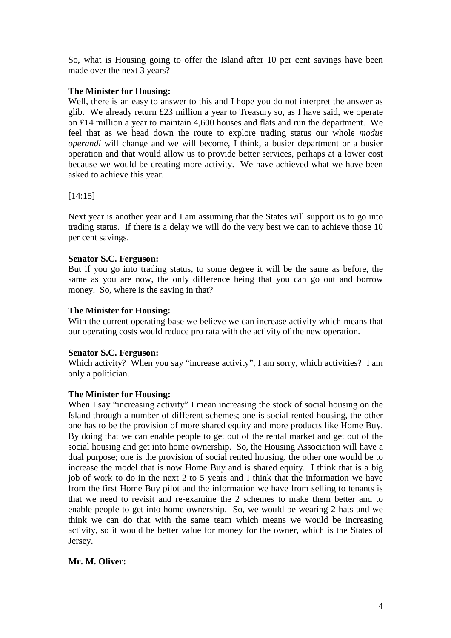So, what is Housing going to offer the Island after 10 per cent savings have been made over the next 3 years?

## **The Minister for Housing:**

Well, there is an easy to answer to this and I hope you do not interpret the answer as glib. We already return £23 million a year to Treasury so, as I have said, we operate on £14 million a year to maintain 4,600 houses and flats and run the department. We feel that as we head down the route to explore trading status our whole *modus operandi* will change and we will become, I think, a busier department or a busier operation and that would allow us to provide better services, perhaps at a lower cost because we would be creating more activity. We have achieved what we have been asked to achieve this year.

## [14:15]

Next year is another year and I am assuming that the States will support us to go into trading status. If there is a delay we will do the very best we can to achieve those 10 per cent savings.

## **Senator S.C. Ferguson:**

But if you go into trading status, to some degree it will be the same as before, the same as you are now, the only difference being that you can go out and borrow money. So, where is the saving in that?

## **The Minister for Housing:**

With the current operating base we believe we can increase activity which means that our operating costs would reduce pro rata with the activity of the new operation.

## **Senator S.C. Ferguson:**

Which activity? When you say "increase activity", I am sorry, which activities? I am only a politician.

## **The Minister for Housing:**

When I say "increasing activity" I mean increasing the stock of social housing on the Island through a number of different schemes; one is social rented housing, the other one has to be the provision of more shared equity and more products like Home Buy. By doing that we can enable people to get out of the rental market and get out of the social housing and get into home ownership. So, the Housing Association will have a dual purpose; one is the provision of social rented housing, the other one would be to increase the model that is now Home Buy and is shared equity. I think that is a big job of work to do in the next 2 to 5 years and I think that the information we have from the first Home Buy pilot and the information we have from selling to tenants is that we need to revisit and re-examine the 2 schemes to make them better and to enable people to get into home ownership. So, we would be wearing 2 hats and we think we can do that with the same team which means we would be increasing activity, so it would be better value for money for the owner, which is the States of Jersey.

## **Mr. M. Oliver:**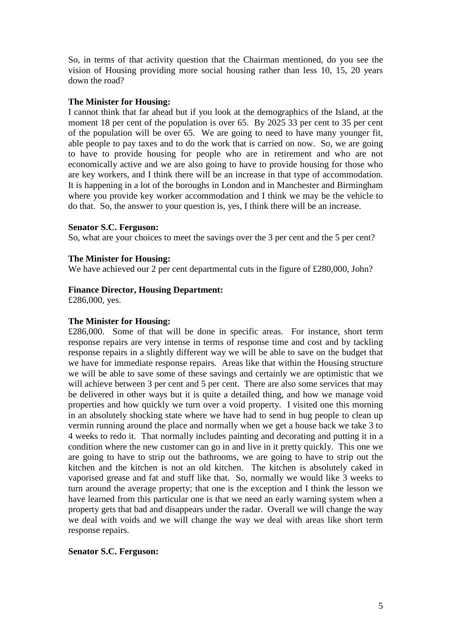So, in terms of that activity question that the Chairman mentioned, do you see the vision of Housing providing more social housing rather than less 10, 15, 20 years down the road?

## **The Minister for Housing:**

I cannot think that far ahead but if you look at the demographics of the Island, at the moment 18 per cent of the population is over 65. By 2025 33 per cent to 35 per cent of the population will be over 65. We are going to need to have many younger fit, able people to pay taxes and to do the work that is carried on now. So, we are going to have to provide housing for people who are in retirement and who are not economically active and we are also going to have to provide housing for those who are key workers, and I think there will be an increase in that type of accommodation. It is happening in a lot of the boroughs in London and in Manchester and Birmingham where you provide key worker accommodation and I think we may be the vehicle to do that. So, the answer to your question is, yes, I think there will be an increase.

## **Senator S.C. Ferguson:**

So, what are your choices to meet the savings over the 3 per cent and the 5 per cent?

## **The Minister for Housing:**

We have achieved our 2 per cent departmental cuts in the figure of £280,000, John?

## **Finance Director, Housing Department:**

£286,000, yes.

## **The Minister for Housing:**

£286,000. Some of that will be done in specific areas. For instance, short term response repairs are very intense in terms of response time and cost and by tackling response repairs in a slightly different way we will be able to save on the budget that we have for immediate response repairs. Areas like that within the Housing structure we will be able to save some of these savings and certainly we are optimistic that we will achieve between 3 per cent and 5 per cent. There are also some services that may be delivered in other ways but it is quite a detailed thing, and how we manage void properties and how quickly we turn over a void property. I visited one this morning in an absolutely shocking state where we have had to send in bug people to clean up vermin running around the place and normally when we get a house back we take 3 to 4 weeks to redo it. That normally includes painting and decorating and putting it in a condition where the new customer can go in and live in it pretty quickly. This one we are going to have to strip out the bathrooms, we are going to have to strip out the kitchen and the kitchen is not an old kitchen. The kitchen is absolutely caked in vaporised grease and fat and stuff like that. So, normally we would like 3 weeks to turn around the average property; that one is the exception and I think the lesson we have learned from this particular one is that we need an early warning system when a property gets that bad and disappears under the radar. Overall we will change the way we deal with voids and we will change the way we deal with areas like short term response repairs.

## **Senator S.C. Ferguson:**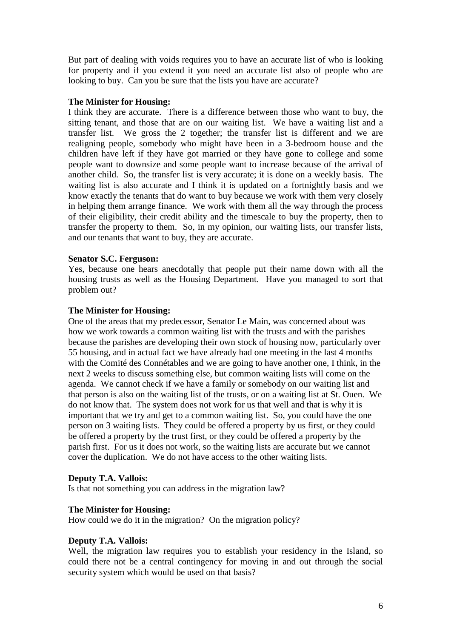But part of dealing with voids requires you to have an accurate list of who is looking for property and if you extend it you need an accurate list also of people who are looking to buy. Can you be sure that the lists you have are accurate?

## **The Minister for Housing:**

I think they are accurate. There is a difference between those who want to buy, the sitting tenant, and those that are on our waiting list. We have a waiting list and a transfer list. We gross the 2 together; the transfer list is different and we are realigning people, somebody who might have been in a 3-bedroom house and the children have left if they have got married or they have gone to college and some people want to downsize and some people want to increase because of the arrival of another child. So, the transfer list is very accurate; it is done on a weekly basis. The waiting list is also accurate and I think it is updated on a fortnightly basis and we know exactly the tenants that do want to buy because we work with them very closely in helping them arrange finance. We work with them all the way through the process of their eligibility, their credit ability and the timescale to buy the property, then to transfer the property to them. So, in my opinion, our waiting lists, our transfer lists, and our tenants that want to buy, they are accurate.

## **Senator S.C. Ferguson:**

Yes, because one hears anecdotally that people put their name down with all the housing trusts as well as the Housing Department. Have you managed to sort that problem out?

## **The Minister for Housing:**

One of the areas that my predecessor, Senator Le Main, was concerned about was how we work towards a common waiting list with the trusts and with the parishes because the parishes are developing their own stock of housing now, particularly over 55 housing, and in actual fact we have already had one meeting in the last 4 months with the Comité des Connétables and we are going to have another one, I think, in the next 2 weeks to discuss something else, but common waiting lists will come on the agenda. We cannot check if we have a family or somebody on our waiting list and that person is also on the waiting list of the trusts, or on a waiting list at St. Ouen. We do not know that. The system does not work for us that well and that is why it is important that we try and get to a common waiting list. So, you could have the one person on 3 waiting lists. They could be offered a property by us first, or they could be offered a property by the trust first, or they could be offered a property by the parish first. For us it does not work, so the waiting lists are accurate but we cannot cover the duplication. We do not have access to the other waiting lists.

## **Deputy T.A. Vallois:**

Is that not something you can address in the migration law?

## **The Minister for Housing:**

How could we do it in the migration? On the migration policy?

## **Deputy T.A. Vallois:**

Well, the migration law requires you to establish your residency in the Island, so could there not be a central contingency for moving in and out through the social security system which would be used on that basis?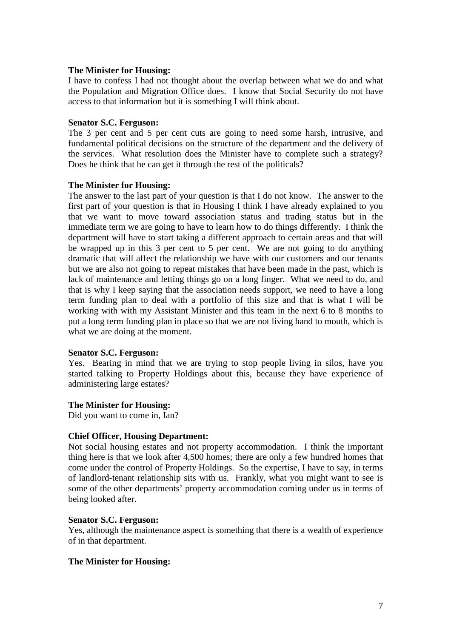I have to confess I had not thought about the overlap between what we do and what the Population and Migration Office does. I know that Social Security do not have access to that information but it is something I will think about.

#### **Senator S.C. Ferguson:**

The 3 per cent and 5 per cent cuts are going to need some harsh, intrusive, and fundamental political decisions on the structure of the department and the delivery of the services. What resolution does the Minister have to complete such a strategy? Does he think that he can get it through the rest of the politicals?

#### **The Minister for Housing:**

The answer to the last part of your question is that I do not know. The answer to the first part of your question is that in Housing I think I have already explained to you that we want to move toward association status and trading status but in the immediate term we are going to have to learn how to do things differently. I think the department will have to start taking a different approach to certain areas and that will be wrapped up in this 3 per cent to 5 per cent. We are not going to do anything dramatic that will affect the relationship we have with our customers and our tenants but we are also not going to repeat mistakes that have been made in the past, which is lack of maintenance and letting things go on a long finger. What we need to do, and that is why I keep saying that the association needs support, we need to have a long term funding plan to deal with a portfolio of this size and that is what I will be working with with my Assistant Minister and this team in the next 6 to 8 months to put a long term funding plan in place so that we are not living hand to mouth, which is what we are doing at the moment.

#### **Senator S.C. Ferguson:**

Yes. Bearing in mind that we are trying to stop people living in silos, have you started talking to Property Holdings about this, because they have experience of administering large estates?

## **The Minister for Housing:**

Did you want to come in, Ian?

## **Chief Officer, Housing Department:**

Not social housing estates and not property accommodation. I think the important thing here is that we look after 4,500 homes; there are only a few hundred homes that come under the control of Property Holdings. So the expertise, I have to say, in terms of landlord-tenant relationship sits with us. Frankly, what you might want to see is some of the other departments' property accommodation coming under us in terms of being looked after.

#### **Senator S.C. Ferguson:**

Yes, although the maintenance aspect is something that there is a wealth of experience of in that department.

## **The Minister for Housing:**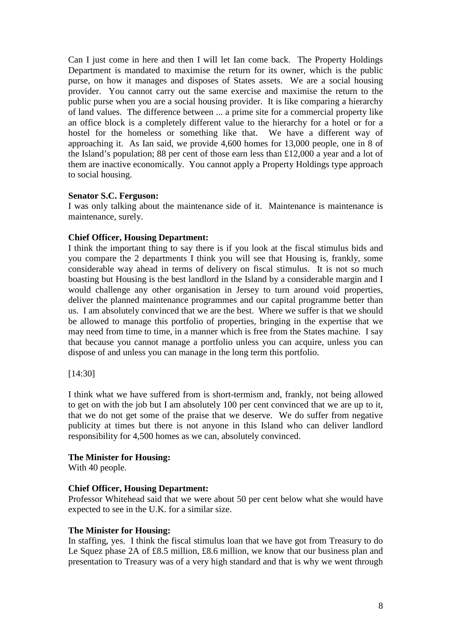Can I just come in here and then I will let Ian come back. The Property Holdings Department is mandated to maximise the return for its owner, which is the public purse, on how it manages and disposes of States assets. We are a social housing provider. You cannot carry out the same exercise and maximise the return to the public purse when you are a social housing provider. It is like comparing a hierarchy of land values. The difference between ... a prime site for a commercial property like an office block is a completely different value to the hierarchy for a hotel or for a hostel for the homeless or something like that. We have a different way of approaching it. As Ian said, we provide 4,600 homes for 13,000 people, one in 8 of the Island's population; 88 per cent of those earn less than £12,000 a year and a lot of them are inactive economically. You cannot apply a Property Holdings type approach to social housing.

## **Senator S.C. Ferguson:**

I was only talking about the maintenance side of it. Maintenance is maintenance is maintenance, surely.

## **Chief Officer, Housing Department:**

I think the important thing to say there is if you look at the fiscal stimulus bids and you compare the 2 departments I think you will see that Housing is, frankly, some considerable way ahead in terms of delivery on fiscal stimulus. It is not so much boasting but Housing is the best landlord in the Island by a considerable margin and I would challenge any other organisation in Jersey to turn around void properties, deliver the planned maintenance programmes and our capital programme better than us. I am absolutely convinced that we are the best. Where we suffer is that we should be allowed to manage this portfolio of properties, bringing in the expertise that we may need from time to time, in a manner which is free from the States machine. I say that because you cannot manage a portfolio unless you can acquire, unless you can dispose of and unless you can manage in the long term this portfolio.

[14:30]

I think what we have suffered from is short-termism and, frankly, not being allowed to get on with the job but I am absolutely 100 per cent convinced that we are up to it, that we do not get some of the praise that we deserve. We do suffer from negative publicity at times but there is not anyone in this Island who can deliver landlord responsibility for 4,500 homes as we can, absolutely convinced.

## **The Minister for Housing:**

With 40 people.

## **Chief Officer, Housing Department:**

Professor Whitehead said that we were about 50 per cent below what she would have expected to see in the U.K. for a similar size.

#### **The Minister for Housing:**

In staffing, yes. I think the fiscal stimulus loan that we have got from Treasury to do Le Squez phase 2A of £8.5 million, £8.6 million, we know that our business plan and presentation to Treasury was of a very high standard and that is why we went through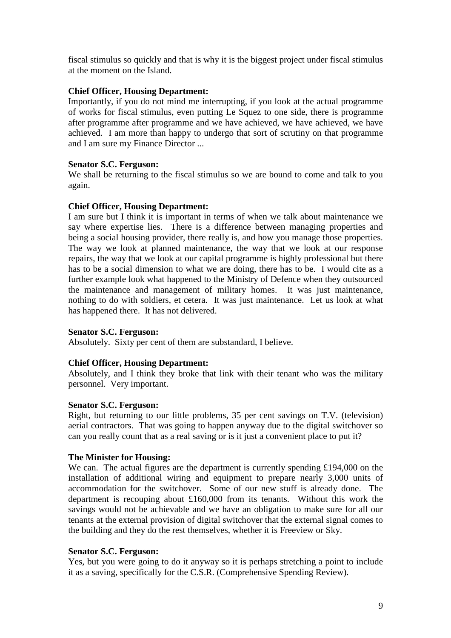fiscal stimulus so quickly and that is why it is the biggest project under fiscal stimulus at the moment on the Island.

## **Chief Officer, Housing Department:**

Importantly, if you do not mind me interrupting, if you look at the actual programme of works for fiscal stimulus, even putting Le Squez to one side, there is programme after programme after programme and we have achieved, we have achieved, we have achieved. I am more than happy to undergo that sort of scrutiny on that programme and I am sure my Finance Director ...

## **Senator S.C. Ferguson:**

We shall be returning to the fiscal stimulus so we are bound to come and talk to you again.

## **Chief Officer, Housing Department:**

I am sure but I think it is important in terms of when we talk about maintenance we say where expertise lies. There is a difference between managing properties and being a social housing provider, there really is, and how you manage those properties. The way we look at planned maintenance, the way that we look at our response repairs, the way that we look at our capital programme is highly professional but there has to be a social dimension to what we are doing, there has to be. I would cite as a further example look what happened to the Ministry of Defence when they outsourced the maintenance and management of military homes. It was just maintenance, nothing to do with soldiers, et cetera. It was just maintenance. Let us look at what has happened there. It has not delivered.

## **Senator S.C. Ferguson:**

Absolutely. Sixty per cent of them are substandard, I believe.

## **Chief Officer, Housing Department:**

Absolutely, and I think they broke that link with their tenant who was the military personnel. Very important.

## **Senator S.C. Ferguson:**

Right, but returning to our little problems, 35 per cent savings on T.V. (television) aerial contractors. That was going to happen anyway due to the digital switchover so can you really count that as a real saving or is it just a convenient place to put it?

## **The Minister for Housing:**

We can. The actual figures are the department is currently spending £194,000 on the installation of additional wiring and equipment to prepare nearly 3,000 units of accommodation for the switchover. Some of our new stuff is already done. The department is recouping about £160,000 from its tenants. Without this work the savings would not be achievable and we have an obligation to make sure for all our tenants at the external provision of digital switchover that the external signal comes to the building and they do the rest themselves, whether it is Freeview or Sky.

## **Senator S.C. Ferguson:**

Yes, but you were going to do it anyway so it is perhaps stretching a point to include it as a saving, specifically for the C.S.R. (Comprehensive Spending Review).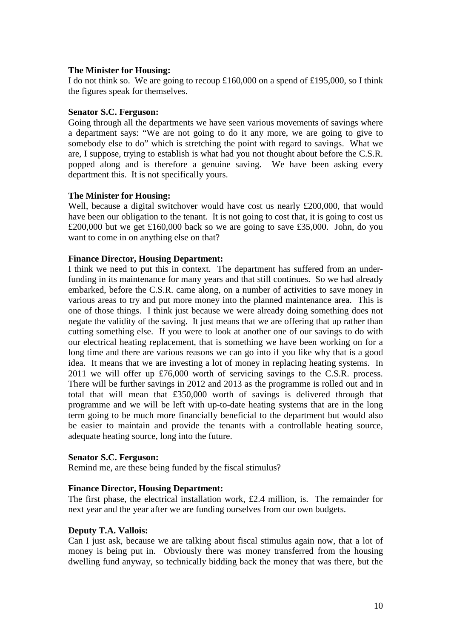I do not think so. We are going to recoup £160,000 on a spend of £195,000, so I think the figures speak for themselves.

## **Senator S.C. Ferguson:**

Going through all the departments we have seen various movements of savings where a department says: "We are not going to do it any more, we are going to give to somebody else to do" which is stretching the point with regard to savings. What we are, I suppose, trying to establish is what had you not thought about before the C.S.R. popped along and is therefore a genuine saving. We have been asking every department this. It is not specifically yours.

## **The Minister for Housing:**

Well, because a digital switchover would have cost us nearly £200,000, that would have been our obligation to the tenant. It is not going to cost that, it is going to cost us £200,000 but we get £160,000 back so we are going to save £35,000. John, do you want to come in on anything else on that?

## **Finance Director, Housing Department:**

I think we need to put this in context. The department has suffered from an underfunding in its maintenance for many years and that still continues. So we had already embarked, before the C.S.R. came along, on a number of activities to save money in various areas to try and put more money into the planned maintenance area. This is one of those things. I think just because we were already doing something does not negate the validity of the saving. It just means that we are offering that up rather than cutting something else. If you were to look at another one of our savings to do with our electrical heating replacement, that is something we have been working on for a long time and there are various reasons we can go into if you like why that is a good idea. It means that we are investing a lot of money in replacing heating systems. In 2011 we will offer up £76,000 worth of servicing savings to the C.S.R. process. There will be further savings in 2012 and 2013 as the programme is rolled out and in total that will mean that £350,000 worth of savings is delivered through that programme and we will be left with up-to-date heating systems that are in the long term going to be much more financially beneficial to the department but would also be easier to maintain and provide the tenants with a controllable heating source, adequate heating source, long into the future.

## **Senator S.C. Ferguson:**

Remind me, are these being funded by the fiscal stimulus?

## **Finance Director, Housing Department:**

The first phase, the electrical installation work, £2.4 million, is. The remainder for next year and the year after we are funding ourselves from our own budgets.

## **Deputy T.A. Vallois:**

Can I just ask, because we are talking about fiscal stimulus again now, that a lot of money is being put in. Obviously there was money transferred from the housing dwelling fund anyway, so technically bidding back the money that was there, but the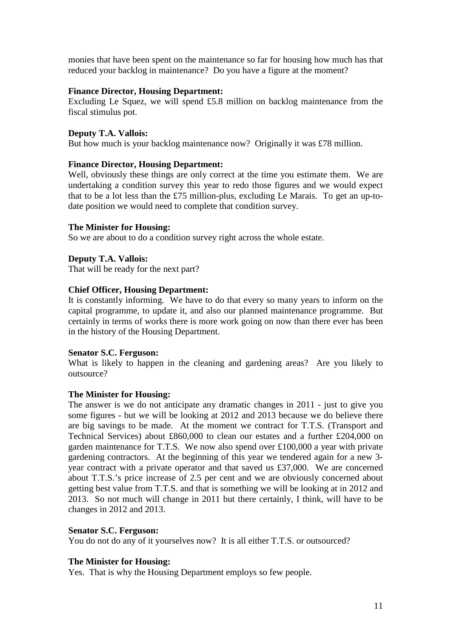monies that have been spent on the maintenance so far for housing how much has that reduced your backlog in maintenance? Do you have a figure at the moment?

## **Finance Director, Housing Department:**

Excluding Le Squez, we will spend £5.8 million on backlog maintenance from the fiscal stimulus pot.

#### **Deputy T.A. Vallois:**

But how much is your backlog maintenance now? Originally it was £78 million.

#### **Finance Director, Housing Department:**

Well, obviously these things are only correct at the time you estimate them. We are undertaking a condition survey this year to redo those figures and we would expect that to be a lot less than the £75 million-plus, excluding Le Marais. To get an up-todate position we would need to complete that condition survey.

#### **The Minister for Housing:**

So we are about to do a condition survey right across the whole estate.

#### **Deputy T.A. Vallois:**

That will be ready for the next part?

## **Chief Officer, Housing Department:**

It is constantly informing. We have to do that every so many years to inform on the capital programme, to update it, and also our planned maintenance programme. But certainly in terms of works there is more work going on now than there ever has been in the history of the Housing Department.

#### **Senator S.C. Ferguson:**

What is likely to happen in the cleaning and gardening areas? Are you likely to outsource?

#### **The Minister for Housing:**

The answer is we do not anticipate any dramatic changes in 2011 - just to give you some figures - but we will be looking at 2012 and 2013 because we do believe there are big savings to be made. At the moment we contract for T.T.S. (Transport and Technical Services) about £860,000 to clean our estates and a further £204,000 on garden maintenance for T.T.S. We now also spend over £100,000 a year with private gardening contractors. At the beginning of this year we tendered again for a new 3 year contract with a private operator and that saved us £37,000. We are concerned about T.T.S.'s price increase of 2.5 per cent and we are obviously concerned about getting best value from T.T.S. and that is something we will be looking at in 2012 and 2013. So not much will change in 2011 but there certainly, I think, will have to be changes in 2012 and 2013.

#### **Senator S.C. Ferguson:**

You do not do any of it yourselves now? It is all either T.T.S. or outsourced?

#### **The Minister for Housing:**

Yes. That is why the Housing Department employs so few people.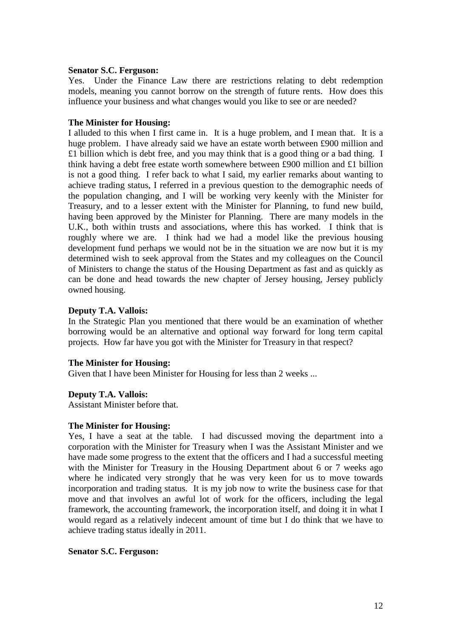## **Senator S.C. Ferguson:**

Yes. Under the Finance Law there are restrictions relating to debt redemption models, meaning you cannot borrow on the strength of future rents. How does this influence your business and what changes would you like to see or are needed?

#### **The Minister for Housing:**

I alluded to this when I first came in. It is a huge problem, and I mean that. It is a huge problem. I have already said we have an estate worth between £900 million and £1 billion which is debt free, and you may think that is a good thing or a bad thing. I think having a debt free estate worth somewhere between £900 million and £1 billion is not a good thing. I refer back to what I said, my earlier remarks about wanting to achieve trading status, I referred in a previous question to the demographic needs of the population changing, and I will be working very keenly with the Minister for Treasury, and to a lesser extent with the Minister for Planning, to fund new build, having been approved by the Minister for Planning. There are many models in the U.K., both within trusts and associations, where this has worked. I think that is roughly where we are. I think had we had a model like the previous housing development fund perhaps we would not be in the situation we are now but it is my determined wish to seek approval from the States and my colleagues on the Council of Ministers to change the status of the Housing Department as fast and as quickly as can be done and head towards the new chapter of Jersey housing, Jersey publicly owned housing.

## **Deputy T.A. Vallois:**

In the Strategic Plan you mentioned that there would be an examination of whether borrowing would be an alternative and optional way forward for long term capital projects. How far have you got with the Minister for Treasury in that respect?

#### **The Minister for Housing:**

Given that I have been Minister for Housing for less than 2 weeks ...

## **Deputy T.A. Vallois:**

Assistant Minister before that.

#### **The Minister for Housing:**

Yes, I have a seat at the table. I had discussed moving the department into a corporation with the Minister for Treasury when I was the Assistant Minister and we have made some progress to the extent that the officers and I had a successful meeting with the Minister for Treasury in the Housing Department about 6 or 7 weeks ago where he indicated very strongly that he was very keen for us to move towards incorporation and trading status. It is my job now to write the business case for that move and that involves an awful lot of work for the officers, including the legal framework, the accounting framework, the incorporation itself, and doing it in what I would regard as a relatively indecent amount of time but I do think that we have to achieve trading status ideally in 2011.

#### **Senator S.C. Ferguson:**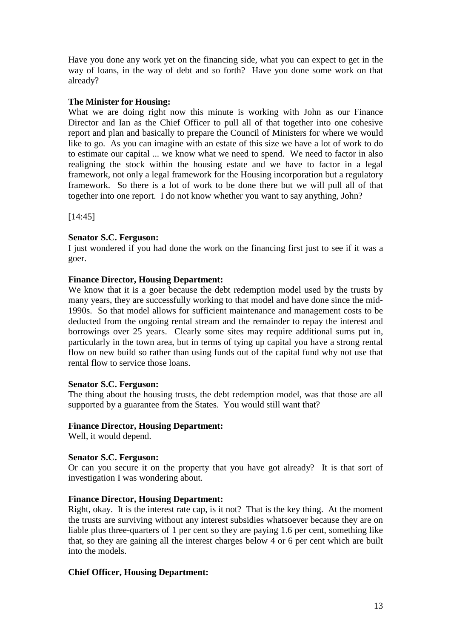Have you done any work yet on the financing side, what you can expect to get in the way of loans, in the way of debt and so forth? Have you done some work on that already?

## **The Minister for Housing:**

What we are doing right now this minute is working with John as our Finance Director and Ian as the Chief Officer to pull all of that together into one cohesive report and plan and basically to prepare the Council of Ministers for where we would like to go. As you can imagine with an estate of this size we have a lot of work to do to estimate our capital ... we know what we need to spend. We need to factor in also realigning the stock within the housing estate and we have to factor in a legal framework, not only a legal framework for the Housing incorporation but a regulatory framework. So there is a lot of work to be done there but we will pull all of that together into one report. I do not know whether you want to say anything, John?

[14:45]

## **Senator S.C. Ferguson:**

I just wondered if you had done the work on the financing first just to see if it was a goer.

## **Finance Director, Housing Department:**

We know that it is a goer because the debt redemption model used by the trusts by many years, they are successfully working to that model and have done since the mid-1990s. So that model allows for sufficient maintenance and management costs to be deducted from the ongoing rental stream and the remainder to repay the interest and borrowings over 25 years. Clearly some sites may require additional sums put in, particularly in the town area, but in terms of tying up capital you have a strong rental flow on new build so rather than using funds out of the capital fund why not use that rental flow to service those loans.

## **Senator S.C. Ferguson:**

The thing about the housing trusts, the debt redemption model, was that those are all supported by a guarantee from the States. You would still want that?

## **Finance Director, Housing Department:**

Well, it would depend.

## **Senator S.C. Ferguson:**

Or can you secure it on the property that you have got already? It is that sort of investigation I was wondering about.

## **Finance Director, Housing Department:**

Right, okay. It is the interest rate cap, is it not? That is the key thing. At the moment the trusts are surviving without any interest subsidies whatsoever because they are on liable plus three-quarters of 1 per cent so they are paying 1.6 per cent, something like that, so they are gaining all the interest charges below 4 or 6 per cent which are built into the models.

## **Chief Officer, Housing Department:**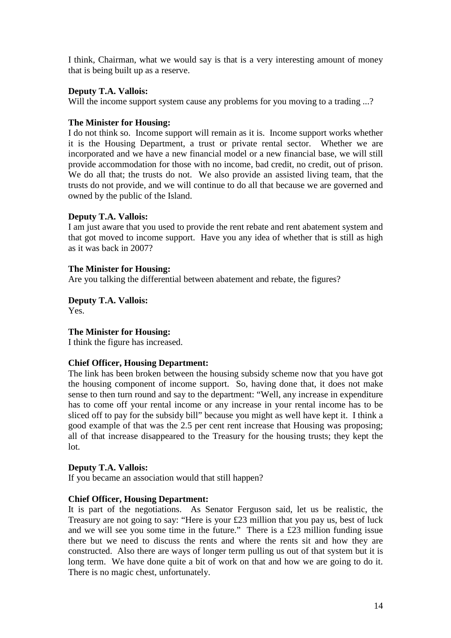I think, Chairman, what we would say is that is a very interesting amount of money that is being built up as a reserve.

## **Deputy T.A. Vallois:**

Will the income support system cause any problems for you moving to a trading ...?

## **The Minister for Housing:**

I do not think so. Income support will remain as it is. Income support works whether it is the Housing Department, a trust or private rental sector. Whether we are incorporated and we have a new financial model or a new financial base, we will still provide accommodation for those with no income, bad credit, no credit, out of prison. We do all that; the trusts do not. We also provide an assisted living team, that the trusts do not provide, and we will continue to do all that because we are governed and owned by the public of the Island.

## **Deputy T.A. Vallois:**

I am just aware that you used to provide the rent rebate and rent abatement system and that got moved to income support. Have you any idea of whether that is still as high as it was back in 2007?

## **The Minister for Housing:**

Are you talking the differential between abatement and rebate, the figures?

**Deputy T.A. Vallois:**

Yes.

## **The Minister for Housing:**

I think the figure has increased.

## **Chief Officer, Housing Department:**

The link has been broken between the housing subsidy scheme now that you have got the housing component of income support. So, having done that, it does not make sense to then turn round and say to the department: "Well, any increase in expenditure has to come off your rental income or any increase in your rental income has to be sliced off to pay for the subsidy bill" because you might as well have kept it. I think a good example of that was the 2.5 per cent rent increase that Housing was proposing; all of that increase disappeared to the Treasury for the housing trusts; they kept the lot.

## **Deputy T.A. Vallois:**

If you became an association would that still happen?

## **Chief Officer, Housing Department:**

It is part of the negotiations. As Senator Ferguson said, let us be realistic, the Treasury are not going to say: "Here is your £23 million that you pay us, best of luck and we will see you some time in the future." There is a £23 million funding issue there but we need to discuss the rents and where the rents sit and how they are constructed. Also there are ways of longer term pulling us out of that system but it is long term. We have done quite a bit of work on that and how we are going to do it. There is no magic chest, unfortunately.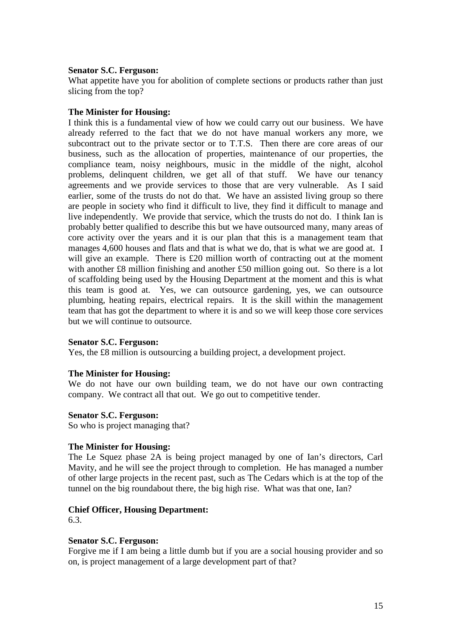## **Senator S.C. Ferguson:**

What appetite have you for abolition of complete sections or products rather than just slicing from the top?

#### **The Minister for Housing:**

I think this is a fundamental view of how we could carry out our business. We have already referred to the fact that we do not have manual workers any more, we subcontract out to the private sector or to T.T.S. Then there are core areas of our business, such as the allocation of properties, maintenance of our properties, the compliance team, noisy neighbours, music in the middle of the night, alcohol problems, delinquent children, we get all of that stuff. We have our tenancy agreements and we provide services to those that are very vulnerable. As I said earlier, some of the trusts do not do that. We have an assisted living group so there are people in society who find it difficult to live, they find it difficult to manage and live independently. We provide that service, which the trusts do not do. I think Ian is probably better qualified to describe this but we have outsourced many, many areas of core activity over the years and it is our plan that this is a management team that manages 4,600 houses and flats and that is what we do, that is what we are good at. I will give an example. There is £20 million worth of contracting out at the moment with another £8 million finishing and another £50 million going out. So there is a lot of scaffolding being used by the Housing Department at the moment and this is what this team is good at. Yes, we can outsource gardening, yes, we can outsource plumbing, heating repairs, electrical repairs. It is the skill within the management team that has got the department to where it is and so we will keep those core services but we will continue to outsource.

#### **Senator S.C. Ferguson:**

Yes, the £8 million is outsourcing a building project, a development project.

#### **The Minister for Housing:**

We do not have our own building team, we do not have our own contracting company. We contract all that out. We go out to competitive tender.

#### **Senator S.C. Ferguson:**

So who is project managing that?

## **The Minister for Housing:**

The Le Squez phase 2A is being project managed by one of Ian's directors, Carl Mavity, and he will see the project through to completion. He has managed a number of other large projects in the recent past, such as The Cedars which is at the top of the tunnel on the big roundabout there, the big high rise. What was that one, Ian?

## **Chief Officer, Housing Department:**

6.3.

## **Senator S.C. Ferguson:**

Forgive me if I am being a little dumb but if you are a social housing provider and so on, is project management of a large development part of that?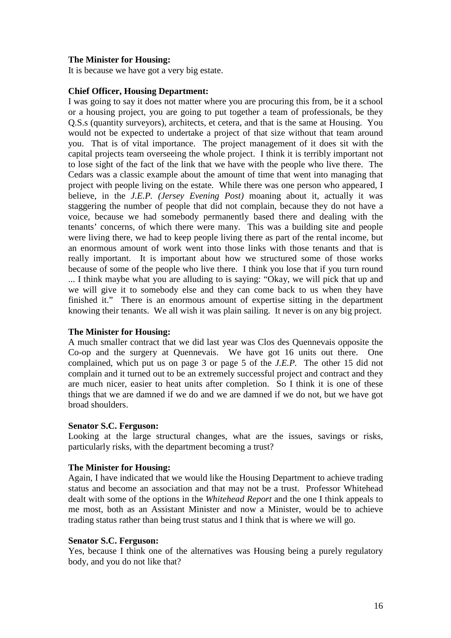It is because we have got a very big estate.

#### **Chief Officer, Housing Department:**

I was going to say it does not matter where you are procuring this from, be it a school or a housing project, you are going to put together a team of professionals, be they Q.S.s (quantity surveyors), architects, et cetera, and that is the same at Housing. You would not be expected to undertake a project of that size without that team around you. That is of vital importance. The project management of it does sit with the capital projects team overseeing the whole project. I think it is terribly important not to lose sight of the fact of the link that we have with the people who live there. The Cedars was a classic example about the amount of time that went into managing that project with people living on the estate. While there was one person who appeared, I believe, in the *J.E.P. (Jersey Evening Post)* moaning about it, actually it was staggering the number of people that did not complain, because they do not have a voice, because we had somebody permanently based there and dealing with the tenants' concerns, of which there were many. This was a building site and people were living there, we had to keep people living there as part of the rental income, but an enormous amount of work went into those links with those tenants and that is really important. It is important about how we structured some of those works because of some of the people who live there. I think you lose that if you turn round ... I think maybe what you are alluding to is saying: "Okay, we will pick that up and we will give it to somebody else and they can come back to us when they have finished it." There is an enormous amount of expertise sitting in the department knowing their tenants. We all wish it was plain sailing. It never is on any big project.

#### **The Minister for Housing:**

A much smaller contract that we did last year was Clos des Quennevais opposite the Co-op and the surgery at Quennevais. We have got 16 units out there. One complained, which put us on page 3 or page 5 of the *J.E.P.* The other 15 did not complain and it turned out to be an extremely successful project and contract and they are much nicer, easier to heat units after completion. So I think it is one of these things that we are damned if we do and we are damned if we do not, but we have got broad shoulders.

#### **Senator S.C. Ferguson:**

Looking at the large structural changes, what are the issues, savings or risks, particularly risks, with the department becoming a trust?

#### **The Minister for Housing:**

Again, I have indicated that we would like the Housing Department to achieve trading status and become an association and that may not be a trust. Professor Whitehead dealt with some of the options in the *Whitehead Report* and the one I think appeals to me most, both as an Assistant Minister and now a Minister, would be to achieve trading status rather than being trust status and I think that is where we will go.

#### **Senator S.C. Ferguson:**

Yes, because I think one of the alternatives was Housing being a purely regulatory body, and you do not like that?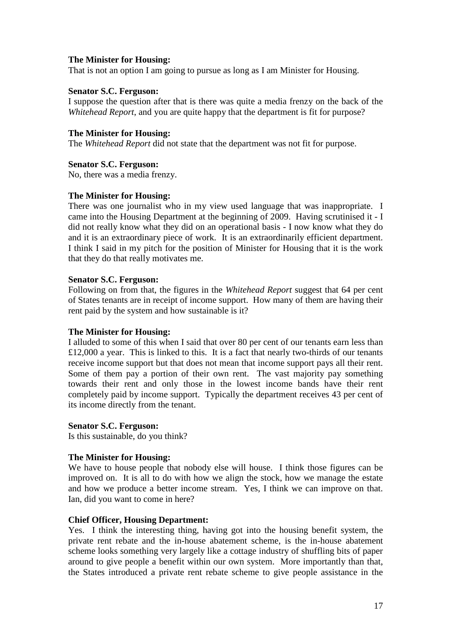That is not an option I am going to pursue as long as I am Minister for Housing.

## **Senator S.C. Ferguson:**

I suppose the question after that is there was quite a media frenzy on the back of the *Whitehead Report*, and you are quite happy that the department is fit for purpose?

## **The Minister for Housing:**

The *Whitehead Report* did not state that the department was not fit for purpose.

## **Senator S.C. Ferguson:**

No, there was a media frenzy.

## **The Minister for Housing:**

There was one journalist who in my view used language that was inappropriate. I came into the Housing Department at the beginning of 2009. Having scrutinised it - I did not really know what they did on an operational basis - I now know what they do and it is an extraordinary piece of work. It is an extraordinarily efficient department. I think I said in my pitch for the position of Minister for Housing that it is the work that they do that really motivates me.

## **Senator S.C. Ferguson:**

Following on from that, the figures in the *Whitehead Report* suggest that 64 per cent of States tenants are in receipt of income support. How many of them are having their rent paid by the system and how sustainable is it?

## **The Minister for Housing:**

I alluded to some of this when I said that over 80 per cent of our tenants earn less than £12,000 a year. This is linked to this. It is a fact that nearly two-thirds of our tenants receive income support but that does not mean that income support pays all their rent. Some of them pay a portion of their own rent. The vast majority pay something towards their rent and only those in the lowest income bands have their rent completely paid by income support. Typically the department receives 43 per cent of its income directly from the tenant.

## **Senator S.C. Ferguson:**

Is this sustainable, do you think?

## **The Minister for Housing:**

We have to house people that nobody else will house. I think those figures can be improved on. It is all to do with how we align the stock, how we manage the estate and how we produce a better income stream. Yes, I think we can improve on that. Ian, did you want to come in here?

## **Chief Officer, Housing Department:**

Yes. I think the interesting thing, having got into the housing benefit system, the private rent rebate and the in-house abatement scheme, is the in-house abatement scheme looks something very largely like a cottage industry of shuffling bits of paper around to give people a benefit within our own system. More importantly than that, the States introduced a private rent rebate scheme to give people assistance in the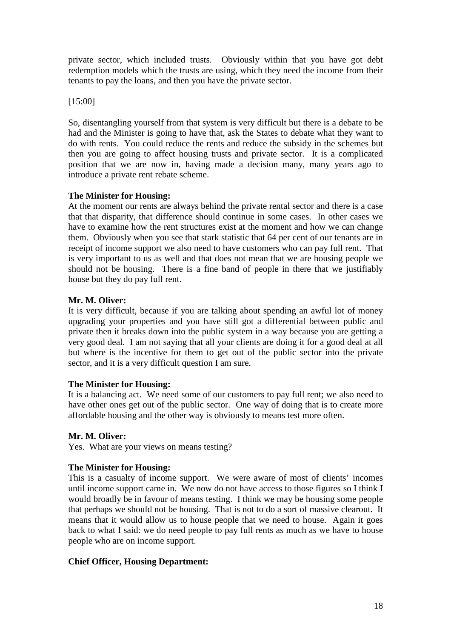private sector, which included trusts. Obviously within that you have got debt redemption models which the trusts are using, which they need the income from their tenants to pay the loans, and then you have the private sector.

[15:00]

So, disentangling yourself from that system is very difficult but there is a debate to be had and the Minister is going to have that, ask the States to debate what they want to do with rents. You could reduce the rents and reduce the subsidy in the schemes but then you are going to affect housing trusts and private sector. It is a complicated position that we are now in, having made a decision many, many years ago to introduce a private rent rebate scheme.

## **The Minister for Housing:**

At the moment our rents are always behind the private rental sector and there is a case that that disparity, that difference should continue in some cases. In other cases we have to examine how the rent structures exist at the moment and how we can change them. Obviously when you see that stark statistic that 64 per cent of our tenants are in receipt of income support we also need to have customers who can pay full rent. That is very important to us as well and that does not mean that we are housing people we should not be housing. There is a fine band of people in there that we justifiably house but they do pay full rent.

## **Mr. M. Oliver:**

It is very difficult, because if you are talking about spending an awful lot of money upgrading your properties and you have still got a differential between public and private then it breaks down into the public system in a way because you are getting a very good deal. I am not saying that all your clients are doing it for a good deal at all but where is the incentive for them to get out of the public sector into the private sector, and it is a very difficult question I am sure.

## **The Minister for Housing:**

It is a balancing act. We need some of our customers to pay full rent; we also need to have other ones get out of the public sector. One way of doing that is to create more affordable housing and the other way is obviously to means test more often.

## **Mr. M. Oliver:**

Yes. What are your views on means testing?

## **The Minister for Housing:**

This is a casualty of income support. We were aware of most of clients' incomes until income support came in. We now do not have access to those figures so I think I would broadly be in favour of means testing. I think we may be housing some people that perhaps we should not be housing. That is not to do a sort of massive clearout. It means that it would allow us to house people that we need to house. Again it goes back to what I said: we do need people to pay full rents as much as we have to house people who are on income support.

## **Chief Officer, Housing Department:**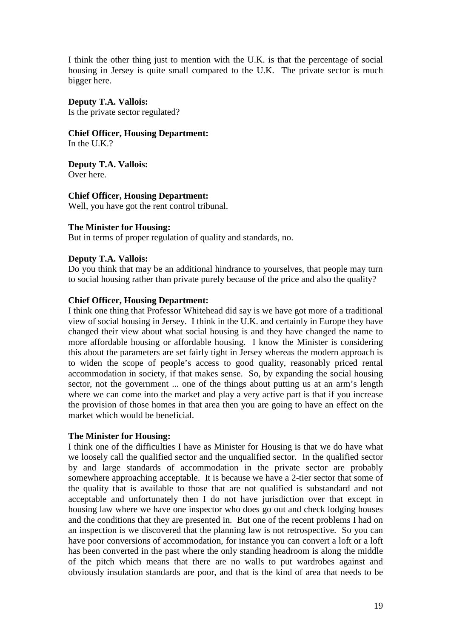I think the other thing just to mention with the U.K. is that the percentage of social housing in Jersey is quite small compared to the U.K. The private sector is much bigger here.

## **Deputy T.A. Vallois:**

Is the private sector regulated?

## **Chief Officer, Housing Department:**

In the U.K.?

**Deputy T.A. Vallois:**  Over here.

## **Chief Officer, Housing Department:**

Well, you have got the rent control tribunal.

## **The Minister for Housing:**

But in terms of proper regulation of quality and standards, no.

## **Deputy T.A. Vallois:**

Do you think that may be an additional hindrance to yourselves, that people may turn to social housing rather than private purely because of the price and also the quality?

## **Chief Officer, Housing Department:**

I think one thing that Professor Whitehead did say is we have got more of a traditional view of social housing in Jersey. I think in the U.K. and certainly in Europe they have changed their view about what social housing is and they have changed the name to more affordable housing or affordable housing. I know the Minister is considering this about the parameters are set fairly tight in Jersey whereas the modern approach is to widen the scope of people's access to good quality, reasonably priced rental accommodation in society, if that makes sense. So, by expanding the social housing sector, not the government ... one of the things about putting us at an arm's length where we can come into the market and play a very active part is that if you increase the provision of those homes in that area then you are going to have an effect on the market which would be beneficial.

## **The Minister for Housing:**

I think one of the difficulties I have as Minister for Housing is that we do have what we loosely call the qualified sector and the unqualified sector. In the qualified sector by and large standards of accommodation in the private sector are probably somewhere approaching acceptable. It is because we have a 2-tier sector that some of the quality that is available to those that are not qualified is substandard and not acceptable and unfortunately then I do not have jurisdiction over that except in housing law where we have one inspector who does go out and check lodging houses and the conditions that they are presented in. But one of the recent problems I had on an inspection is we discovered that the planning law is not retrospective. So you can have poor conversions of accommodation, for instance you can convert a loft or a loft has been converted in the past where the only standing headroom is along the middle of the pitch which means that there are no walls to put wardrobes against and obviously insulation standards are poor, and that is the kind of area that needs to be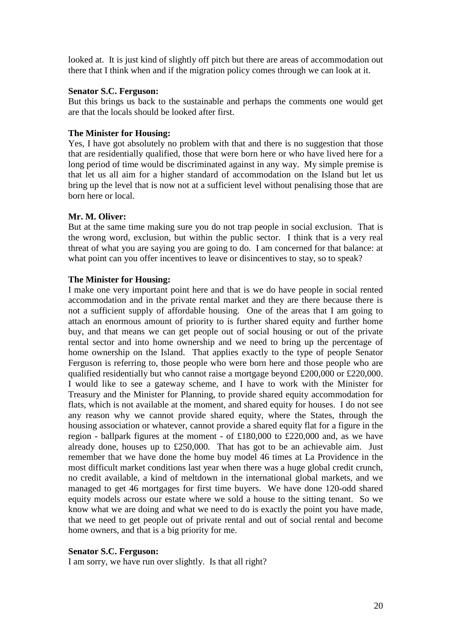looked at. It is just kind of slightly off pitch but there are areas of accommodation out there that I think when and if the migration policy comes through we can look at it.

## **Senator S.C. Ferguson:**

But this brings us back to the sustainable and perhaps the comments one would get are that the locals should be looked after first.

## **The Minister for Housing:**

Yes, I have got absolutely no problem with that and there is no suggestion that those that are residentially qualified, those that were born here or who have lived here for a long period of time would be discriminated against in any way. My simple premise is that let us all aim for a higher standard of accommodation on the Island but let us bring up the level that is now not at a sufficient level without penalising those that are born here or local.

#### **Mr. M. Oliver:**

But at the same time making sure you do not trap people in social exclusion. That is the wrong word, exclusion, but within the public sector. I think that is a very real threat of what you are saying you are going to do. I am concerned for that balance: at what point can you offer incentives to leave or disincentives to stay, so to speak?

#### **The Minister for Housing:**

I make one very important point here and that is we do have people in social rented accommodation and in the private rental market and they are there because there is not a sufficient supply of affordable housing. One of the areas that I am going to attach an enormous amount of priority to is further shared equity and further home buy, and that means we can get people out of social housing or out of the private rental sector and into home ownership and we need to bring up the percentage of home ownership on the Island. That applies exactly to the type of people Senator Ferguson is referring to, those people who were born here and those people who are qualified residentially but who cannot raise a mortgage beyond £200,000 or £220,000. I would like to see a gateway scheme, and I have to work with the Minister for Treasury and the Minister for Planning, to provide shared equity accommodation for flats, which is not available at the moment, and shared equity for houses. I do not see any reason why we cannot provide shared equity, where the States, through the housing association or whatever, cannot provide a shared equity flat for a figure in the region - ballpark figures at the moment - of £180,000 to £220,000 and, as we have already done, houses up to £250,000. That has got to be an achievable aim. Just remember that we have done the home buy model 46 times at La Providence in the most difficult market conditions last year when there was a huge global credit crunch, no credit available, a kind of meltdown in the international global markets, and we managed to get 46 mortgages for first time buyers. We have done 120-odd shared equity models across our estate where we sold a house to the sitting tenant. So we know what we are doing and what we need to do is exactly the point you have made, that we need to get people out of private rental and out of social rental and become home owners, and that is a big priority for me.

## **Senator S.C. Ferguson:**

I am sorry, we have run over slightly. Is that all right?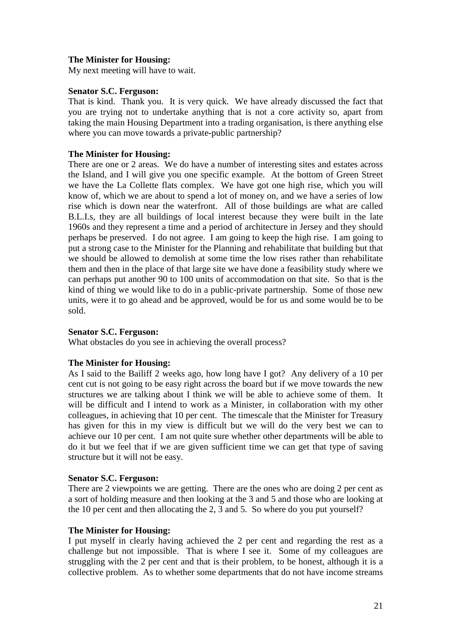My next meeting will have to wait.

## **Senator S.C. Ferguson:**

That is kind. Thank you. It is very quick. We have already discussed the fact that you are trying not to undertake anything that is not a core activity so, apart from taking the main Housing Department into a trading organisation, is there anything else where you can move towards a private-public partnership?

## **The Minister for Housing:**

There are one or 2 areas. We do have a number of interesting sites and estates across the Island, and I will give you one specific example. At the bottom of Green Street we have the La Collette flats complex. We have got one high rise, which you will know of, which we are about to spend a lot of money on, and we have a series of low rise which is down near the waterfront. All of those buildings are what are called B.L.I.s, they are all buildings of local interest because they were built in the late 1960s and they represent a time and a period of architecture in Jersey and they should perhaps be preserved. I do not agree. I am going to keep the high rise. I am going to put a strong case to the Minister for the Planning and rehabilitate that building but that we should be allowed to demolish at some time the low rises rather than rehabilitate them and then in the place of that large site we have done a feasibility study where we can perhaps put another 90 to 100 units of accommodation on that site. So that is the kind of thing we would like to do in a public-private partnership. Some of those new units, were it to go ahead and be approved, would be for us and some would be to be sold.

## **Senator S.C. Ferguson:**

What obstacles do you see in achieving the overall process?

## **The Minister for Housing:**

As I said to the Bailiff 2 weeks ago, how long have I got? Any delivery of a 10 per cent cut is not going to be easy right across the board but if we move towards the new structures we are talking about I think we will be able to achieve some of them. It will be difficult and I intend to work as a Minister, in collaboration with my other colleagues, in achieving that 10 per cent. The timescale that the Minister for Treasury has given for this in my view is difficult but we will do the very best we can to achieve our 10 per cent. I am not quite sure whether other departments will be able to do it but we feel that if we are given sufficient time we can get that type of saving structure but it will not be easy.

## **Senator S.C. Ferguson:**

There are 2 viewpoints we are getting. There are the ones who are doing 2 per cent as a sort of holding measure and then looking at the 3 and 5 and those who are looking at the 10 per cent and then allocating the 2, 3 and 5. So where do you put yourself?

## **The Minister for Housing:**

I put myself in clearly having achieved the 2 per cent and regarding the rest as a challenge but not impossible. That is where I see it. Some of my colleagues are struggling with the 2 per cent and that is their problem, to be honest, although it is a collective problem. As to whether some departments that do not have income streams